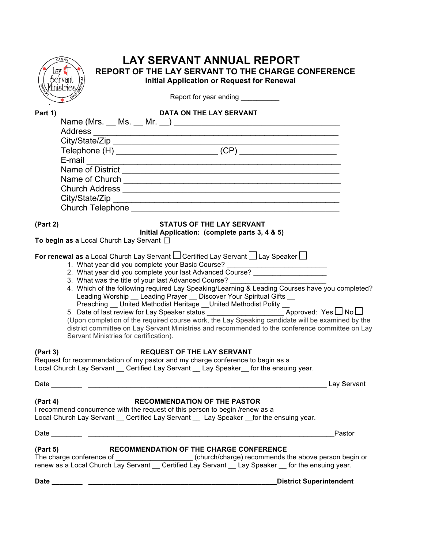| LAY SERVANT ANNUAL REPORT<br>Lay<br><b>REPORT OF THE LAY SERVANT TO THE CHARGE CONFERENCE</b><br>ocrvant<br><b>Initial Application or Request for Renewal</b><br>Ministries,                                                                                                                                                                                                                                             |
|--------------------------------------------------------------------------------------------------------------------------------------------------------------------------------------------------------------------------------------------------------------------------------------------------------------------------------------------------------------------------------------------------------------------------|
| Report for year ending __________                                                                                                                                                                                                                                                                                                                                                                                        |
| Part 1)<br>DATA ON THE LAY SERVANT                                                                                                                                                                                                                                                                                                                                                                                       |
|                                                                                                                                                                                                                                                                                                                                                                                                                          |
|                                                                                                                                                                                                                                                                                                                                                                                                                          |
|                                                                                                                                                                                                                                                                                                                                                                                                                          |
| E-mail<br>the control of the control of the control of the control of the control of the control of the control of the control of the control of the control of the control of the control of the control of the control of the control                                                                                                                                                                                  |
|                                                                                                                                                                                                                                                                                                                                                                                                                          |
|                                                                                                                                                                                                                                                                                                                                                                                                                          |
|                                                                                                                                                                                                                                                                                                                                                                                                                          |
| Church Telephone <u>Church Telephone</u>                                                                                                                                                                                                                                                                                                                                                                                 |
| <b>STATUS OF THE LAY SERVANT</b><br>(Part 2)                                                                                                                                                                                                                                                                                                                                                                             |
| Initial Application: (complete parts 3, 4 & 5)<br>To begin as a Local Church Lay Servant $\square$                                                                                                                                                                                                                                                                                                                       |
| 4. Which of the following required Lay Speaking/Learning & Leading Courses have you completed?<br>Leading Worship __ Leading Prayer __ Discover Your Spiritual Gifts __<br>(Upon completion of the required course work, the Lay Speaking candidate will be examined by the<br>district committee on Lay Servant Ministries and recommended to the conference committee on Lay<br>Servant Ministries for certification). |
| <b>REQUEST OF THE LAY SERVANT</b><br>(Part 3)<br>Request for recommendation of my pastor and my charge conference to begin as a<br>Local Church Lay Servant __ Certified Lay Servant __ Lay Speaker __ for the ensuing year.                                                                                                                                                                                             |
|                                                                                                                                                                                                                                                                                                                                                                                                                          |
| <b>RECOMMENDATION OF THE PASTOR</b><br>(Part 4)<br>I recommend concurrence with the request of this person to begin /renew as a<br>Local Church Lay Servant __ Certified Lay Servant __ Lay Speaker __for the ensuing year.                                                                                                                                                                                              |
| Pastor                                                                                                                                                                                                                                                                                                                                                                                                                   |
| (Part 5)<br><b>RECOMMENDATION OF THE CHARGE CONFERENCE</b><br>renew as a Local Church Lay Servant __ Certified Lay Servant __ Lay Speaker __ for the ensuing year.                                                                                                                                                                                                                                                       |
| <b>District Superintendent</b>                                                                                                                                                                                                                                                                                                                                                                                           |